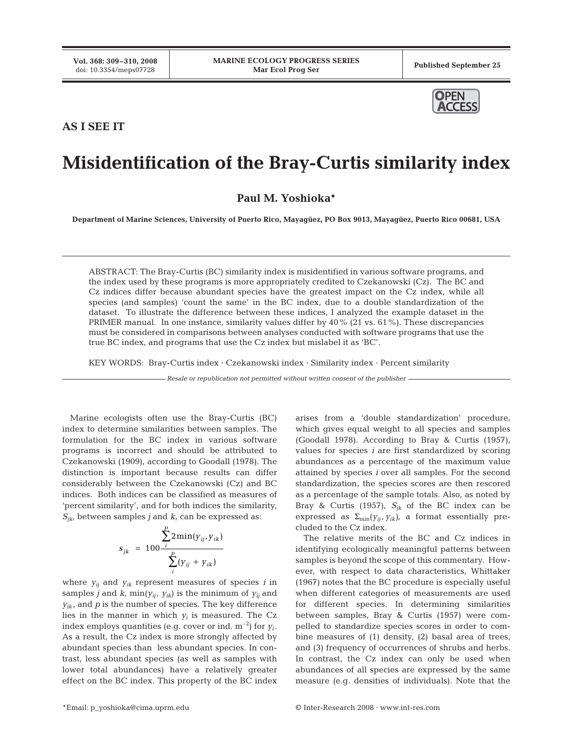

## **AS I SEE IT**

## **Misidentification of the Bray-Curtis similarity index**

**Paul M. Yoshioka\***

**Department of Marine Sciences, University of Puerto Rico, Mayagüez, PO Box 9013, Mayagüez, Puerto Rico 00681, USA**

ABSTRACT: The Bray-Curtis (BC) similarity index is misidentified in various software programs, and the index used by these programs is more appropriately credited to Czekanowski (Cz). The BC and Cz indices differ because abundant species have the greatest impact on the Cz index, while all species (and samples) 'count the same' in the BC index, due to a double standardization of the dataset. To illustrate the difference between these indices, I analyzed the example dataset in the PRIMER manual. In one instance, similarity values differ by 40% (21 vs. 61%). These discrepancies must be considered in comparisons between analyses conducted with software programs that use the true BC index, and programs that use the Cz index but mislabel it as 'BC'.

KEY WORDS: Bray-Curtis index · Czekanowski index · Similarity index · Percent similarity

*Resale or republication not permitted without written consent of the publisher*

Marine ecologists often use the Bray-Curtis (BC) index to determine similarities between samples. The formulation for the BC index in various software programs is incorrect and should be attributed to Czekanowski (1909), according to Goodall (1978). The distinction is important because results can differ considerably between the Czekanowski (Cz) and BC indices. Both indices can be classified as measures of 'percent similarity', and for both indices the similarity,  $S_{ik}$ , between samples *j* and *k*, can be expressed as:

$$
s_{jk} = 100 \frac{\sum_{i}^{p} 2 \min(y_{ij}, y_{ik})}{\sum_{i}^{p} (y_{ij} + y_{ik})}
$$

where *yij* and *yik* represent measures of species *i* in samples  $j$  and  $k$ ,  $\min(y_{ij}, y_{ik})$  is the minimum of  $y_{ij}$  and  $y_{ik}$ , and  $p$  is the number of species. The key difference lies in the manner in which  $y_i$  is measured. The Cz index employs quantities (e.g. cover or ind.  $m^{-2}$ ) for  $y_i$ . As a result, the Cz index is more strongly affected by abundant species than less abundant species. In contrast, less abundant species (as well as samples with lower total abundances) have a relatively greater effect on the BC index. This property of the BC index

arises from a 'double standardization' procedure, which gives equal weight to all species and samples (Goodall 1978). According to Bray & Curtis (1957), values for species *i* are first standardized by scoring abundances as a percentage of the maximum value attained by species *i* over all samples. For the second standardization, the species scores are then rescored as a percentage of the sample totals. Also, as noted by Bray & Curtis (1957),  $S_{jk}$  of the BC index can be expressed as  $\Sigma_{\text{min}}(y_{ij}, y_{ik})$ , a format essentially precluded to the Cz index.

The relative merits of the BC and Cz indices in identifying ecologically meaningful patterns between samples is beyond the scope of this commentary. However, with respect to data characteristics, Whittaker (1967) notes that the BC procedure is especially useful when different categories of measurements are used for different species. In determining similarities between samples, Bray & Curtis (1957) were compelled to standardize species scores in order to combine measures of (1) density, (2) basal area of trees, and (3) frequency of occurrences of shrubs and herbs. In contrast, the Cz index can only be used when abundances of all species are expressed by the same measure (e.g. densities of individuals). Note that the